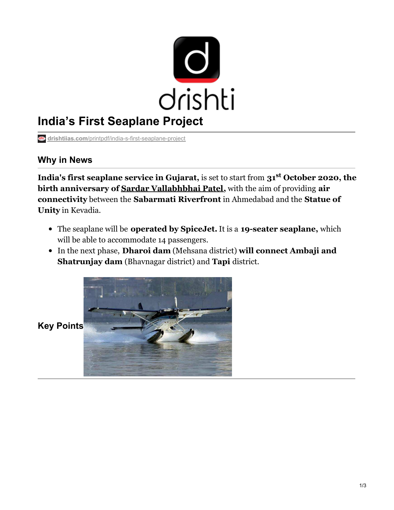

# **India's First Seaplane Project**

**drishtiias.com**[/printpdf/india-s-first-seaplane-project](https://www.drishtiias.com/printpdf/india-s-first-seaplane-project)

### **Why in News**

**India's first seaplane service in Gujarat,** is set to start from **31 October 2020, the st birth anniversary of Sardar [Vallabhbhai](https://www.drishtiias.com/daily-updates/daily-news-analysis/national-unity-day) Patel,** with the aim of providing **air connectivity** between the **Sabarmati Riverfront** in Ahmedabad and the **Statue of Unity** in Kevadia.

- The seaplane will be **operated by SpiceJet.** It is a **19-seater seaplane,** which will be able to accommodate 14 passengers.
- In the next phase, **Dharoi dam** (Mehsana district) **will connect Ambaji and Shatrunjay dam** (Bhavnagar district) and **Tapi** district.



**Key Points**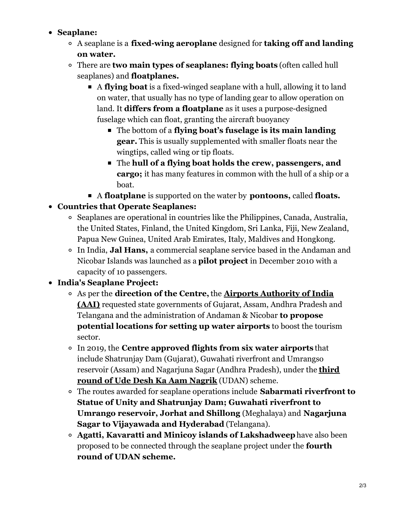#### **Seaplane:**

- A seaplane is a **fixed-wing aeroplane** designed for **taking off and landing on water.**
- There are **two main types of seaplanes: flying boats** (often called hull seaplanes) and **floatplanes.**
	- A **flying boat** is a fixed-winged seaplane with a hull, allowing it to land on water, that usually has no type of landing gear to allow operation on land. It **differs from a floatplane** as it uses a purpose-designed fuselage which can float, granting the aircraft buoyancy
		- The bottom of a **flying boat's fuselage is its main landing gear.** This is usually supplemented with smaller floats near the wingtips, called wing or tip floats.
		- The **hull of a flying boat holds the crew, passengers, and cargo;** it has many features in common with the hull of a ship or a boat.
	- A **floatplane** is supported on the water by **pontoons,** called **floats.**
- **Countries that Operate Seaplanes:**
	- Seaplanes are operational in countries like the Philippines, Canada, Australia, the United States, Finland, the United Kingdom, Sri Lanka, Fiji, New Zealand, Papua New Guinea, United Arab Emirates, Italy, Maldives and Hongkong.
	- In India, **Jal Hans,** a commercial seaplane service based in the Andaman and Nicobar Islands was launched as a **pilot project** in December 2010 with a capacity of 10 passengers.

## **India's Seaplane Project:**

- As per the **direction of the Centre,** the **Airports Authority of India (AAI)** requested state [governments](https://www.drishtiias.com/daily-updates/daily-news-analysis/wings-india-2020) of Gujarat, Assam, Andhra Pradesh and Telangana and the administration of Andaman & Nicobar **to propose potential locations for setting up water airports** to boost the tourism sector.
- In 2019, the **Centre approved flights from six water airports** that include Shatrunjay Dam (Gujarat), Guwahati riverfront and Umrangso reservoir (Assam) and [Nagarjuna](https://www.drishtiias.com/daily-updates/daily-news-analysis/udan-4-0) Sagar (Andhra Pradesh), under the **third round of Ude Desh Ka Aam Nagrik** (UDAN) scheme.
- The routes awarded for seaplane operations include **Sabarmati riverfront to Statue of Unity and Shatrunjay Dam; Guwahati riverfront to Umrango reservoir, Jorhat and Shillong** (Meghalaya) and **Nagarjuna Sagar to Vijayawada and Hyderabad** (Telangana).
- **Agatti, Kavaratti and Minicoy islands of Lakshadweep**have also been proposed to be connected through the seaplane project under the **fourth round of UDAN scheme.**